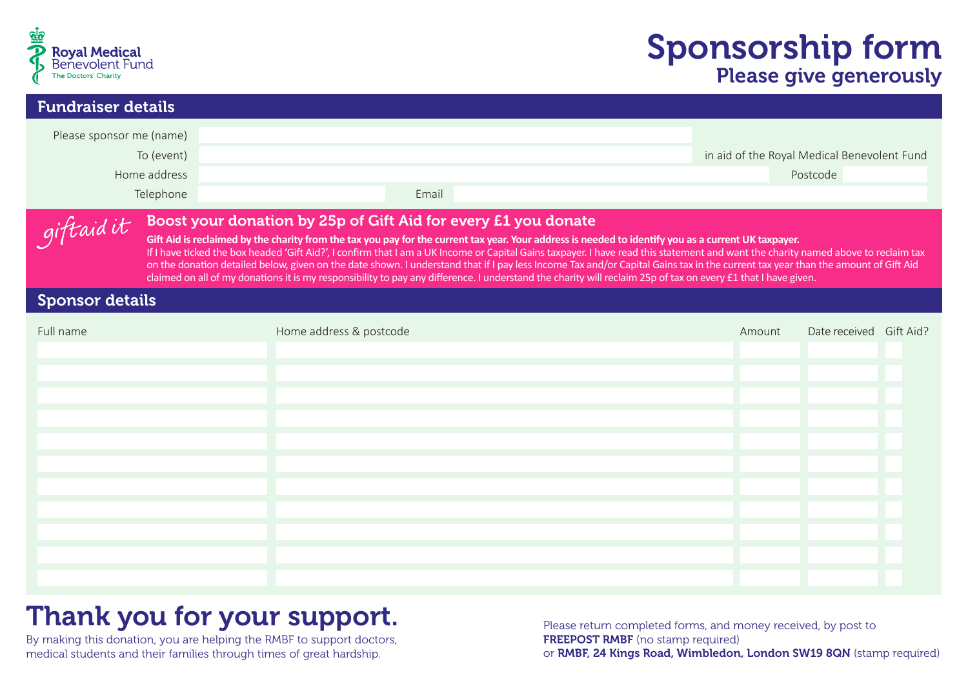

# Sponsorship form Please give generously

| <b>Fundraiser details</b>                                                                                                                                                                                                                                                                                                                                                                                                                                                                                                                                                                                                                                                                                                                                                      |                         |                                                         |  |  |  |
|--------------------------------------------------------------------------------------------------------------------------------------------------------------------------------------------------------------------------------------------------------------------------------------------------------------------------------------------------------------------------------------------------------------------------------------------------------------------------------------------------------------------------------------------------------------------------------------------------------------------------------------------------------------------------------------------------------------------------------------------------------------------------------|-------------------------|---------------------------------------------------------|--|--|--|
| Please sponsor me (name)<br>To (event)<br>Home address<br>Telephone                                                                                                                                                                                                                                                                                                                                                                                                                                                                                                                                                                                                                                                                                                            | Email                   | in aid of the Royal Medical Benevolent Fund<br>Postcode |  |  |  |
| Boost your donation by 25p of Gift Aid for every £1 you donate<br>giftaidit<br>Gift Aid is reclaimed by the charity from the tax you pay for the current tax year. Your address is needed to identify you as a current UK taxpayer.<br>If I have ticked the box headed 'Gift Aid?', I confirm that I am a UK Income or Capital Gains taxpayer. I have read this statement and want the charity named above to reclaim tax<br>on the donation detailed below, given on the date shown. I understand that if I pay less Income Tax and/or Capital Gains tax in the current tax year than the amount of Gift Aid<br>claimed on all of my donations it is my responsibility to pay any difference. I understand the charity will reclaim 25p of tax on every £1 that I have given. |                         |                                                         |  |  |  |
| <b>Sponsor details</b>                                                                                                                                                                                                                                                                                                                                                                                                                                                                                                                                                                                                                                                                                                                                                         |                         |                                                         |  |  |  |
|                                                                                                                                                                                                                                                                                                                                                                                                                                                                                                                                                                                                                                                                                                                                                                                | Home address & postcode | Date received Gift Aid?<br>Amount                       |  |  |  |
|                                                                                                                                                                                                                                                                                                                                                                                                                                                                                                                                                                                                                                                                                                                                                                                |                         |                                                         |  |  |  |

# Thank you for your support.

By making this donation, you are helping the RMBF to support doctors, medical students and their families through times of great hardship.

Please return completed forms, and money received, by post to FREEPOST RMBF (no stamp required) or RMBF, 24 Kings Road, Wimbledon, London SW19 8QN (stamp required)